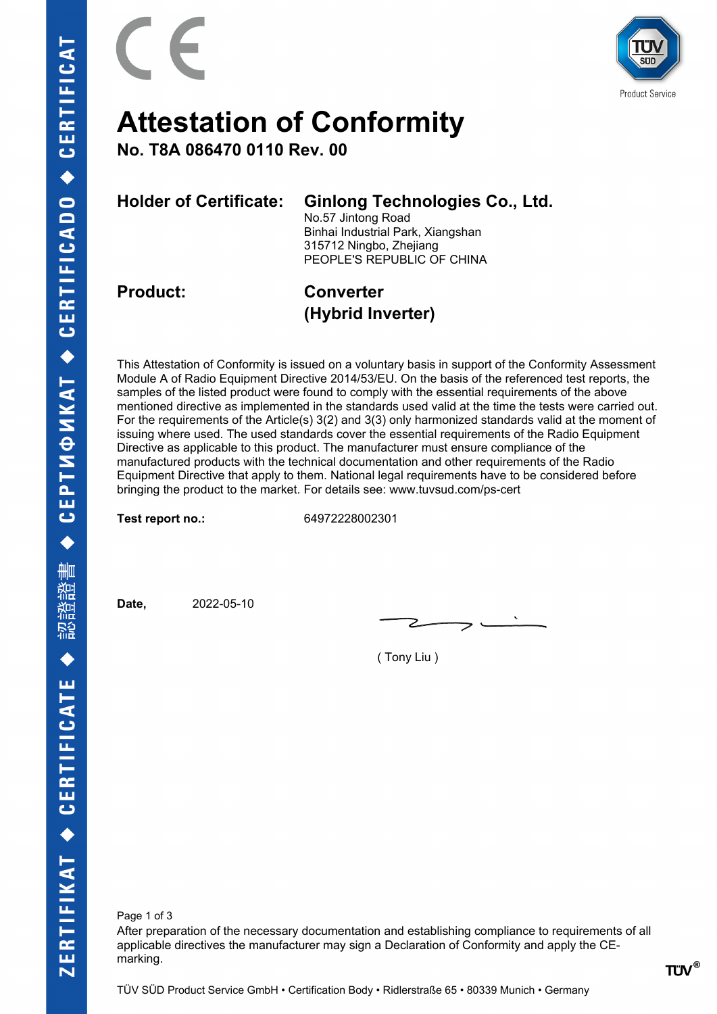

# **Attestation of Conformity**

**No. T8A 086470 0110 Rev. 00**

**Holder of Certificate: Ginlong Technologies Co., Ltd.**

No.57 Jintong Road Binhai Industrial Park, Xiangshan 315712 Ningbo, Zhejiang PEOPLE'S REPUBLIC OF CHINA

### **Product: Converter (Hybrid Inverter)**

This Attestation of Conformity is issued on a voluntary basis in support of the Conformity Assessment Module A of Radio Equipment Directive 2014/53/EU. On the basis of the referenced test reports, the samples of the listed product were found to comply with the essential requirements of the above mentioned directive as implemented in the standards used valid at the time the tests were carried out. For the requirements of the Article(s) 3(2) and 3(3) only harmonized standards valid at the moment of issuing where used. The used standards cover the essential requirements of the Radio Equipment Directive as applicable to this product. The manufacturer must ensure compliance of the manufactured products with the technical documentation and other requirements of the Radio Equipment Directive that apply to them. National legal requirements have to be considered before bringing the product to the market. For details see: www.tuvsud.com/ps-cert

**Test report no.:** 64972228002301

**Date,** 2022-05-10

 $\Rightarrow$   $\stackrel{\cdot}{\cdot}$ 

( Tony Liu )

Page 1 of 3

After preparation of the necessary documentation and establishing compliance to requirements of all applicable directives the manufacturer may sign a Declaration of Conformity and apply the CEmarking.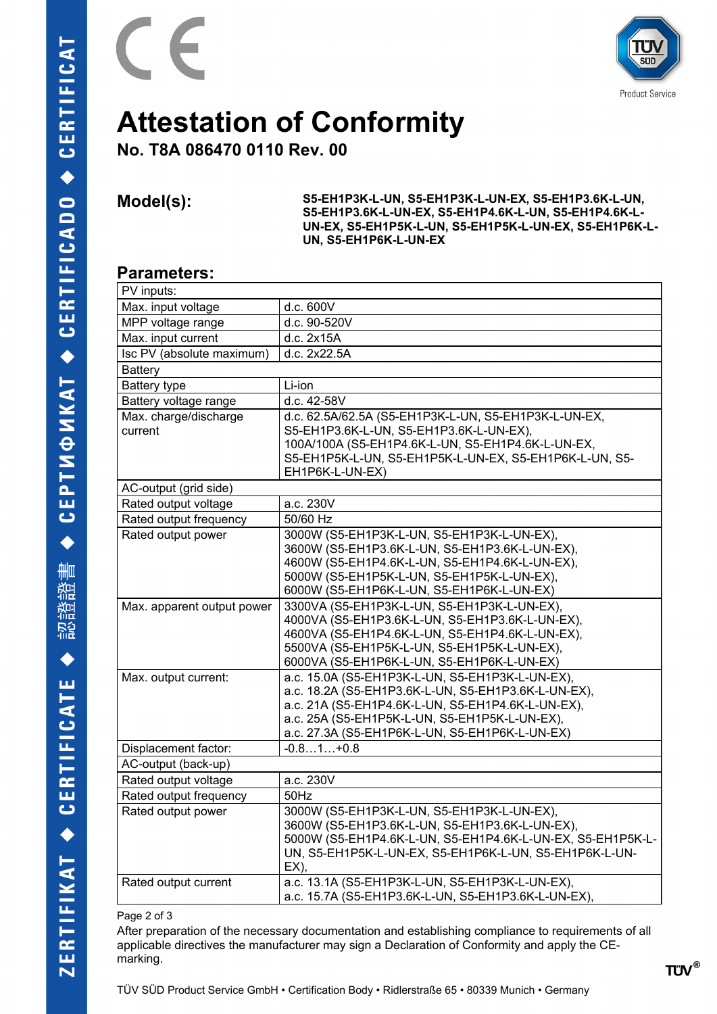



### **Attestation of Conformity**

**No. T8A 086470 0110 Rev. 00**

 $\epsilon$ 

**Model(s): S5-EH1P3K-L-UN, S5-EH1P3K-L-UN-EX, S5-EH1P3.6K-L-UN, S5-EH1P3.6K-L-UN-EX, S5-EH1P4.6K-L-UN, S5-EH1P4.6K-L-UN-EX, S5-EH1P5K-L-UN, S5-EH1P5K-L-UN-EX, S5-EH1P6K-L-UN, S5-EH1P6K-L-UN-EX**

#### **Parameters:**

| PV inputs:                 |                                                                                                    |  |
|----------------------------|----------------------------------------------------------------------------------------------------|--|
| Max. input voltage         | d.c. 600V                                                                                          |  |
| MPP voltage range          | d.c. 90-520V                                                                                       |  |
| Max. input current         | d.c. 2x15A                                                                                         |  |
| Isc PV (absolute maximum)  | d.c. 2x22.5A                                                                                       |  |
| <b>Battery</b>             |                                                                                                    |  |
| <b>Battery type</b>        | Li-ion                                                                                             |  |
| Battery voltage range      | d.c. 42-58V                                                                                        |  |
| Max. charge/discharge      | d.c. 62.5A/62.5A (S5-EH1P3K-L-UN, S5-EH1P3K-L-UN-EX,                                               |  |
| current                    | S5-EH1P3.6K-L-UN, S5-EH1P3.6K-L-UN-EX),                                                            |  |
|                            | 100A/100A (S5-EH1P4.6K-L-UN, S5-EH1P4.6K-L-UN-EX,                                                  |  |
|                            | S5-EH1P5K-L-UN, S5-EH1P5K-L-UN-EX, S5-EH1P6K-L-UN, S5-                                             |  |
|                            | EH1P6K-L-UN-EX)                                                                                    |  |
| AC-output (grid side)      |                                                                                                    |  |
| Rated output voltage       | a.c. 230V                                                                                          |  |
| Rated output frequency     | 50/60 Hz                                                                                           |  |
| Rated output power         | 3000W (S5-EH1P3K-L-UN, S5-EH1P3K-L-UN-EX),<br>3600W (S5-EH1P3.6K-L-UN, S5-EH1P3.6K-L-UN-EX),       |  |
|                            | 4600W (S5-EH1P4.6K-L-UN, S5-EH1P4.6K-L-UN-EX),                                                     |  |
|                            | 5000W (S5-EH1P5K-L-UN, S5-EH1P5K-L-UN-EX),                                                         |  |
|                            | 6000W (S5-EH1P6K-L-UN, S5-EH1P6K-L-UN-EX)                                                          |  |
| Max. apparent output power | 3300VA (S5-EH1P3K-L-UN, S5-EH1P3K-L-UN-EX),                                                        |  |
|                            | 4000VA (S5-EH1P3.6K-L-UN, S5-EH1P3.6K-L-UN-EX),                                                    |  |
|                            | 4600VA (S5-EH1P4.6K-L-UN, S5-EH1P4.6K-L-UN-EX),                                                    |  |
|                            | 5500VA (S5-EH1P5K-L-UN, S5-EH1P5K-L-UN-EX),                                                        |  |
|                            | 6000VA (S5-EH1P6K-L-UN, S5-EH1P6K-L-UN-EX)                                                         |  |
| Max. output current:       | a.c. 15.0A (S5-EH1P3K-L-UN, S5-EH1P3K-L-UN-EX),                                                    |  |
|                            | a.c. 18.2A (S5-EH1P3.6K-L-UN, S5-EH1P3.6K-L-UN-EX),                                                |  |
|                            | a.c. 21A (S5-EH1P4.6K-L-UN, S5-EH1P4.6K-L-UN-EX),<br>a.c. 25A (S5-EH1P5K-L-UN, S5-EH1P5K-L-UN-EX), |  |
|                            | a.c. 27.3A (S5-EH1P6K-L-UN, S5-EH1P6K-L-UN-EX)                                                     |  |
| Displacement factor:       | $-0.81+0.8$                                                                                        |  |
| AC-output (back-up)        |                                                                                                    |  |
| Rated output voltage       | a.c. 230V                                                                                          |  |
| Rated output frequency     | 50Hz                                                                                               |  |
| Rated output power         | 3000W (S5-EH1P3K-L-UN, S5-EH1P3K-L-UN-EX),                                                         |  |
|                            | 3600W (S5-EH1P3.6K-L-UN, S5-EH1P3.6K-L-UN-EX),                                                     |  |
|                            | 5000W (S5-EH1P4.6K-L-UN, S5-EH1P4.6K-L-UN-EX, S5-EH1P5K-L-                                         |  |
|                            | UN, S5-EH1P5K-L-UN-EX, S5-EH1P6K-L-UN, S5-EH1P6K-L-UN-                                             |  |
|                            | $EX$ ),                                                                                            |  |
| Rated output current       | a.c. 13.1A (S5-EH1P3K-L-UN, S5-EH1P3K-L-UN-EX),                                                    |  |
|                            | a.c. 15.7A (S5-EH1P3.6K-L-UN, S5-EH1P3.6K-L-UN-EX),                                                |  |

#### Page 2 of 3

After preparation of the necessary documentation and establishing compliance to requirements of all applicable directives the manufacturer may sign a Declaration of Conformity and apply the CEmarking.